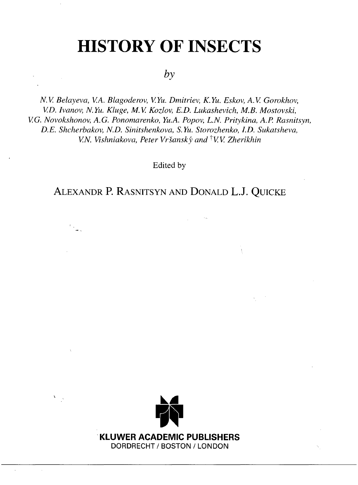# **HISTORY OF INSECTS**

### *by*

*N.V. Belayeva, V.A. Blagoderov, V.Yu. Dmitriev, K.Yu. Eskov, A.V. Gorokhov, V.D. Ivanov, N.Yu. Kluge, M.V. Kozlov, E.D. Lukashevich, M.B. Mostovski, V.G. Novokshonov, A.G. Ponomarenko, Yu.A. Popov, L.N. Pritykina, A.P. Rasnitsyn, D.E. Shcherbakov, N.D. Sinitshenkova, S.Yu. Storozhenko, I.D. Sukatsheva, V.N. Vishniakova, Peter Vrsansky and ^VV Zherikhin*

Edited by

### ALEXANDR P. RASNITSYN AND DONALD L.J. QUICKE

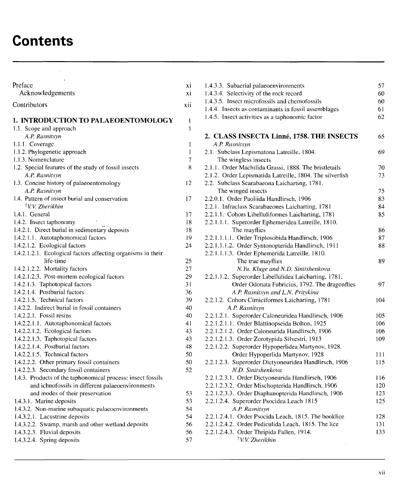## **Contents**

| Preface<br>Acknowledgements                                               | хi<br>хi     |
|---------------------------------------------------------------------------|--------------|
| Contributors                                                              | xii          |
| 1. INTRODUCTION TO PALAEOENTOMOLOGY                                       | 1            |
| 1.1. Scope and approach                                                   | 1            |
| A.P. Rasnitsyn                                                            |              |
| 1.1.1. Coverage                                                           | 1            |
| 1.1.2. Phylogenetic approach                                              | $\mathbf{I}$ |
| 1.1.3. Nomenclature                                                       | 7            |
| 1.2. Special features of the study of fossil insects                      | 8            |
| A.P. Rasnitsyn                                                            |              |
| 1.3. Concise history of palaeoentomology                                  | 12           |
| A.P. Rasnitsyn                                                            |              |
| 1.4. Pattern of insect burial and conservation                            | 17           |
| †V.V. Zherikhin                                                           |              |
| 1.4.1. General                                                            | 17<br>18     |
| 1.4.2. Insect taphonomy<br>1.4.2.1. Direct burial in sedimentary deposits | 18           |
| 1.4.2.1.1. Autotaphonomical factors                                       | 19           |
| 1.4.2.1.2. Ecological factors                                             | 24           |
| 1.4.2.1.2.1. Ecological factors affecting organisms in their              |              |
| life-time                                                                 | 25           |
| 1.4.2.1.2.2. Mortality factors                                            | 27           |
| 1.4.2.1.2.3. Post-mortem ecological factors                               | 29           |
| 1.4.2.1.3. Taphotopical factors                                           | 31           |
| 1.4.2.1.4. Postburial factors                                             | 36           |
| 1.4.2.1.5. Technical factors                                              | 39           |
| 1.4.2.2. Indirect burial in fossil containers                             | 40           |
| $1.4.2.2.1$ . Fossil resins                                               | 40           |
| 1.4.2.2.1.1. Autotaphonomical factors                                     | 41           |
| 1.4.2.2.1.2. Ecological factors                                           | 43           |
| 1.4.2.2.1.3. Taphotopical factors<br>1.4.2.2.1.4. Postburial factors      | 43<br>48     |
| 1.4.2.2.1.5. Technical factors                                            | 50           |
| 1.4.2.2.2. Other primary fossil containers                                | 50           |
| 1.4.2.2.3. Secondary fossil containers                                    | 52           |
| 1.4.3. Products of the taphonomical process: insect fossils               |              |
| and ichnofossils in different palaeoenvironments                          |              |
| and modes of their preservation                                           | 53           |
| 1.4.3.1. Marine deposits                                                  | 53           |
| 1.4.3.2. Non-marine subaquatic palaeoenvironments                         | 54           |
| 1.4.3.2.1. Lacustrine deposits                                            | 54           |
| 1.4.3.2.2. Swamp, marsh and other wetland deposits                        | 56           |
| 1.4.3.2.3. Fluvial deposits                                               | 56           |
| 1.4.3.2.4. Spring deposits                                                | 57           |

| 1.4.3.3. Subaerial palaeoenvironments                                       | 57  |
|-----------------------------------------------------------------------------|-----|
| 1.4.3.4. Selectivity of the rock record                                     | 60  |
| 1.4.3.5. Insect microfossils and chemofossils                               | 60  |
| 1.4.4. Insects as contaminants in fossil assemblages                        | 61  |
| 1.4.5. Insect activities as a taphonomic factor                             | 62  |
| 2. CLASS INSECTA Linné, 1758. THE INSECTS                                   | 65  |
| A.P. Rasnitsyn                                                              |     |
| 2.1. Subclass Lepismatona Latreille, 1804.                                  | 69  |
| The wingless insects                                                        |     |
| 2.1.1. Order Machilida Grassi, 1888. The bristletails                       | 70  |
| 2.1.2. Order Lepismatida Latreille, 1804. The silverfish                    | 73  |
| 2.2. Subclass Scarabaeona Laicharting, 1781.                                |     |
| The winged insects                                                          | 75  |
| 2.2.0.1. Order Paoliida Handlirsch, 1906                                    | 83  |
| 2.2.1. Infraclass Scarabaeones Laicharting, 1781                            | 84  |
| 2.2.1.1. Cohors Libelluliformes Laicharting, 1781                           | 85  |
| 2.2.1.1.1. Superorder Ephemeridea Latreille, 1810.                          |     |
| The mayflies                                                                | 86  |
| 2.2.1.1.1.1. Order Triplosobida Handlirsch, 1906                            | 87  |
| 2.2.1.1.1.2. Order Syntonopterida Handlirsch, 1911                          | 88  |
| 2.2.1.1.1.3. Order Ephemerida Latreille, 1810.                              |     |
| The true mayflies                                                           | 89  |
| N.Yu. Kluge and N.D. Sinitshenkova                                          |     |
| 2.2.1.1.2. Superorder Libellulidea Laicharting, 1781.                       |     |
| Order Odonata Fabricius, 1792. The dragonflies                              | 97  |
| A.P. Rasnitsyn and L.N. Pritykina                                           |     |
| 2.2.1.2. Cohors Cimiciformes Laicharting, 1781                              | 104 |
| A.P. Rasnitsyn                                                              |     |
| 2.2.1.2.1. Superorder Caloneuridea Handlirsch, 1906                         | 105 |
| 2.2.1.2.1.1. Order Blattinopseida Bolton, 1925                              | 106 |
| 2.2.1.2.1.2. Order Caloneurida Handlirsch, 1906                             | 106 |
| 2.2.1.2.1.3. Order Zorotypida Silvestri, 1913                               | 109 |
| 2.2.1.2.2. Superorder Hypoperlidea Martynov, 1928.                          |     |
| Order Hypoperlida Martynov, 1928                                            | 111 |
| 2.2.1.2.3. Superorder Dictyoneuridea Handlirsch, 1906<br>N.D. Sinitshenkova | 115 |
| 2.2.1.2.3.1. Order Dictyoneurida Handlirsch, 1906                           | 116 |
| 2.2.1.2.3.2. Order Mischopterida Handlirsch, 1906                           | 120 |
| 2.2.1.2.3.3. Order Diaphanopterida Handlirsch, 1906                         | 123 |
| 2.2.1.2.4. Superorder Psocidea Leach 1815                                   | 125 |
| A.P. Rasnitsyn                                                              |     |
| 2.2.1.2.4.1. Order Psocida Leach, 1815. The booklice                        | 128 |
| 2.2.1.2.4.2. Order Pediculida Leach, 1815. The lice                         | 131 |
| 2.2.1.2.4.3. Order Thripida Fallen, 1914.                                   | 133 |
| <sup>†</sup> V.V. Zherikhin                                                 |     |
|                                                                             |     |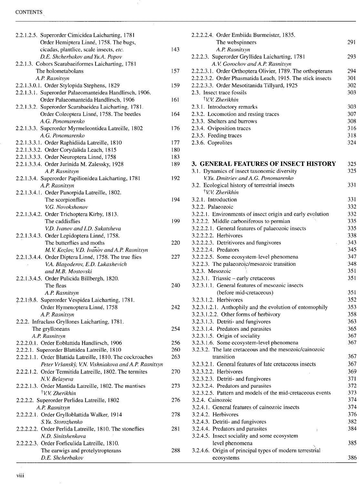#### CONTENTS

| 2.2.1.2.5. Superorder Cimicidea Laicharting, 1781          |     |
|------------------------------------------------------------|-----|
| Order Hemiptera Linné, 1758. The bugs,                     |     |
| cicadas, plantlice, scale insects, etc.                    | 143 |
| D.E. Shcherbakov and Yu.A. Popov                           |     |
| 2.2.1.3. Cohors Scarabaeiformes Laicharting, 1781          |     |
| The holometabolans                                         | 157 |
| A.P. Rasnitsyn                                             |     |
| 2.2.1.3.0.1. Order Stylopida Stephens, 1829                | 159 |
| 2.2.1.3.1. Superorder Palaeomanteidea Handlirsch, 1906.    |     |
| Order Palaeomanteida Handlirsch, 1906                      | 161 |
| 2.2.1.3.2. Superorder Scarabaeidea Laicharting, 1781.      |     |
| Order Coleoptera Linné, 1758. The beetles                  | 164 |
| A.G. Ponomarenko                                           |     |
| 2.2.1.3.3. Superorder Myrmeleontidea Latreille, 1802       | 176 |
| A.G. Ponomarenko                                           |     |
| 2.2.1.3.3.1. Order Raphidiida Latreille, 1810              | 177 |
|                                                            |     |
| 2.2.1.3.3.2. Order Corydalida Leach, 1815                  | 180 |
| 2.2.1.3.3.3. Order Neuroptera Linné, 1758                  | 183 |
| 2.2.1.3.3.4. Order Jurinida M. Zalessky, 1928              | 189 |
| A.P. Rasnitsyn                                             |     |
| 2.2.1.3.4. Superorder Papilionidea Laicharting, 1781       | 192 |
| A.P. Rasnitsyn                                             |     |
| 2.2.1.3.4.1. Order Panorpida Latreille, 1802.              |     |
| The scorpionflies                                          | 194 |
| V.G. Novokshonov                                           |     |
| 2.2.1.3.4.2. Order Trichoptera Kirby, 1813.                |     |
| The caddisflies                                            | 199 |
| V.D. Ivanov and I.D. Sukatsheva                            |     |
| 2.2.1.3.4.3. Order Lepidoptera Linné, 1758.                |     |
| The butterflies and moths                                  | 220 |
| M.V. Kozlov, V.D. Ivanov and A.P. Rasnitsyn                |     |
| 2.2.1.3.4.4. Order Diptera Linné, 1758. The true flies     | 227 |
| V.A. Blagoderov, E.D. Lukashevich                          |     |
| and M.B. Mostovski                                         |     |
| 2.2.1.3.4.5. Order Pulicida Billbergh, 1820.               |     |
| The fleas                                                  | 240 |
| A.P. Rasnitsyn                                             |     |
| 2.2.1.3.5. Superorder Vespidea Laicharting, 1781.          |     |
| Order Hymenoptera Linné, 1758                              | 242 |
|                                                            |     |
| A.P. Rasnitsyn                                             |     |
| 2.2.2. Infraclass Gryllones Laicharting, 1781.             |     |
| The grylloneans                                            | 254 |
| A.P. Rasnitsyn                                             |     |
| 2.2.2.0.1. Order Eoblattida Handlirsch, 1906               | 256 |
| 2.2.2.1. Superorder Blattidea Latreille, 1810              | 260 |
| 2.2.2.1.1. Order Blattida Latreille, 1810. The cockroaches | 263 |
| Peter Vršanský, V.N. Vishniakova and A.P. Rasnitsyn        |     |
| 2.2.2.1.2. Order Termitida Latreille, 1802. The termites   | 270 |
| N.V. Belaveva                                              |     |
| 2.2.2.1.3. Order Mantida Latreille, 1802. The mantises     | 273 |
| <sup>†</sup> V.V. Zherikhin                                |     |
| 2.2.2.2. Superorder Perlidea Latreille, 1802               | 276 |
| A.P. Rasnitsyn                                             |     |
| 2.2.2.2.1. Order Grylloblattida Walker, 1914               | 278 |
| S.Yu. Storozhenko                                          |     |
| 2.2.2.2.2. Order Perlida Latreille, 1810. The stoneflies   | 281 |
| N.D. Sinitshenkova                                         |     |
| 2.2.2.2.3. Order Forficulida Latreille, 1810.              |     |
| The earwigs and protelytropterans                          | 288 |
| D.E. Shcherbakov                                           |     |
|                                                            |     |

ŀ,

| 2.2.2.2.4. Order Embiida Burmeister, 1835.                                                           |     |
|------------------------------------------------------------------------------------------------------|-----|
| The webspinners                                                                                      | 291 |
| A.P. Rasnitsyn                                                                                       |     |
| 2.2.2.3. Superorder Gryllidea Laicharting, 1781                                                      | 293 |
| A.V. Gorochov and A.P. Rasnitsyn                                                                     |     |
| 2.2.2.3.1. Order Orthoptera Olivier, 1789. The orthopterans                                          | 294 |
| 2.2.2.3.2. Order Phasmatida Leach, 1915. The stick insects                                           | 301 |
| 2.2.2.3.3. Order Mesotitanida Tillyard, 1925                                                         | 302 |
| 2.3. Insect trace fossils                                                                            | 303 |
| <sup>†</sup> V.V. Zherikhin                                                                          |     |
| 2.3.1. Introductory remarks                                                                          | 303 |
| 2.3.2. Locomotion and resting traces                                                                 | 307 |
| 2.3.3. Shelters and burrows                                                                          | 308 |
| 2.3.4. Oviposition traces                                                                            | 316 |
| 2.3.5. Feeding traces                                                                                | 318 |
| 2.3.6. Coprolites                                                                                    | 324 |
|                                                                                                      |     |
|                                                                                                      |     |
| <b>3. GENERAL FEATURES OF INSECT HISTORY</b>                                                         | 325 |
| 3.1. Dynamics of insect taxonomic diversity                                                          | 325 |
| V.Yu. Dmitriev and A.G. Ponomarenko                                                                  |     |
| 3.2. Ecological history of terrestrial insects                                                       | 331 |
| <sup>†</sup> V.V. Zherikhin                                                                          |     |
| 3.2.1. Introduction                                                                                  | 331 |
| 3.2.2. Palaeozoic                                                                                    | 332 |
| 3.2.2.1. Environments of insect origin and early evolution                                           | 332 |
| 3.2.2.2. Middle carboniferous to permian                                                             | 335 |
| 3.2.2.2.1. General features of palaeozoic insects                                                    | 335 |
| 3.2.2.2.2. Herbivores                                                                                | 338 |
| 3.2.2.2.3. Detritivores and fungivores                                                               | 343 |
| 3.2.2.2.4. Predators                                                                                 | 345 |
| 3.2.2.2.5. Some ecosystem-level phenomena                                                            | 347 |
| 3.2.2.3. The palaeozoic/mesozoic transition                                                          | 348 |
| 3.2.3. Mesozoic                                                                                      | 351 |
| 3.2.3.1. Triassic - early cretaceous                                                                 | 351 |
| 3.2.3.1.1. General features of mesozoic insects                                                      |     |
| (before mid-cretaceous)                                                                              | 351 |
| 3.2.3.1.2. Herbivores                                                                                | 352 |
| 3.2.3.1.2.1. Anthophily and the evolution of entomophily                                             | 353 |
| 3.2.3.1.2.2. Other forms of herbivory                                                                | 358 |
|                                                                                                      |     |
| 3.2.3.1.3. Detriti- and fungivores                                                                   | 363 |
| 3.2.3.1.4. Predators and parasites                                                                   | 365 |
| 3.2.3.1.5. Origin of sociality                                                                       | 367 |
| 3.2.3.1.6. Some ecosystem-level phenomena<br>3.2.3.2. The late cretaceous and the mesozoic/cainozoic | 367 |
| transition                                                                                           | 367 |
|                                                                                                      |     |
| 3.2.3.2.1. General features of late cretaceous insects                                               | 367 |
| 3.2.3.2.2. Herbivores                                                                                | 369 |
| 3.2.3.2.3. Detriti- and fungivores                                                                   | 371 |
| 3.2.3.2.4. Predators and parasites                                                                   | 372 |
| 3.2.3.2.5. Pattern and models of the mid-cretaceous events                                           | 373 |
| 3.2.4. Cainozoic                                                                                     | 374 |
| 3.2.4.1. General features of cainozoic insects                                                       | 374 |
| 3.2.4.2. Herbivores                                                                                  | 376 |
| 3.2.4.3. Detriti- and fungivores                                                                     | 382 |
| 3.2.4.4. Predators and parasites                                                                     | 384 |
| 3.2.4.5. Insect sociality and some ecosystem                                                         |     |
| level phenomena                                                                                      | 385 |
| 3.2.4.6. Origin of principal types of modern terrestrial                                             |     |
| ecosystems                                                                                           | 386 |